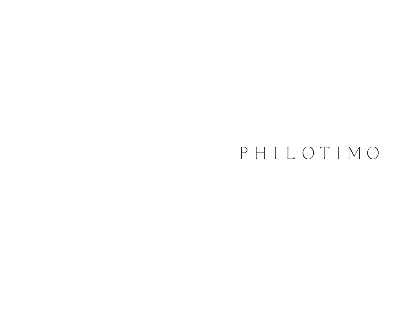# PHILOTIMO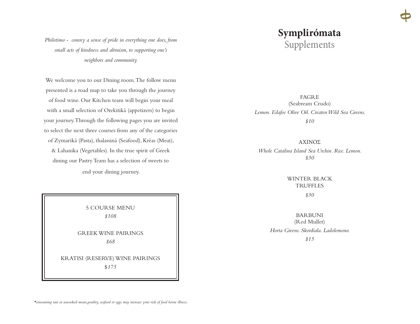### **Symplirómata**  Supplements

FAGRE (Seabream Crudo) *Lemon. Edafos Olive Oil. Createn Wild Sea Greens. \$10*

ΑΧΙΝΌΣ *Whole Catalina Island Sea Urchin. Rice. Lemon. \$30* 

> WINTER BLACK TRUFFLES *\$30*

BARBUNI (Red Mullet) *Horta Greens. Skordiala. Ladolemono. \$15*

*Philotimo - convey a sense of pride in everything one does, from small acts of kindness and altruism, to supporting one's neighbors and community.* 

We welcome you to our Dining room. The follow menu presented is a road map to take you through the journey of food wine. Our Kitchen team will begin your meal with a small selection of Orekitiká (appetizers) to begin your journey. Through the following pages you are invited to select the next three courses from any of the categories of Zymariká (Pasta), thalassiná (Seafood), Kréas (Meat), & Lahanika (Vegetables). In the true spirit of Greek dining our Pastry Team has a selection of sweets to end your dining journey.

5 COURSE MENU *\$108* GREEK WINE PAIRINGS *\$68* KRATISI (RESERVE) WINE PAIRINGS

\$*175*

*\*consuming raw or uncooked meats,poultry, seafood or eggs may increase your risk of food borne illness.*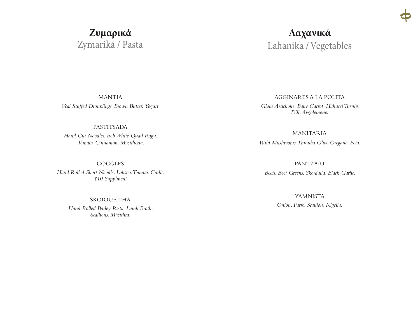# Ζυμαρικά Zymariká / Pasta

### Λαχανικά Lahanika / Vegetables

**MANTIA** Veal Stuffed Dumplings. Brown Butter. Yogurt.

#### **PASTITSADA**

Hand Cut Noodles. Bob White Quail Ragu. Tomato. Cinnamon. Mizitheria.

**GOGGLES** 

Hand Rolled Short Noodle, Lobster, Tomato, Garlic. \$10 Supplment

**SKOIOUFITHA** 

Hand Rolled Barley Pasta. Lamb Broth. Scallions, Mizithra.

AGGINARES A LA POLITA Globe Artichoke. Baby Carrot. Hakurei Turnip. Dill. Avgolemono.

**MANITARIA** Wild Mushrooms. Throuba Olive. Oregano. Feta.

**PANTZARI** 

Beets. Beet Greens. Skordalia. Black Garlic.

**YAMNISTA** Onion. Farro. Scallion. Nigella.